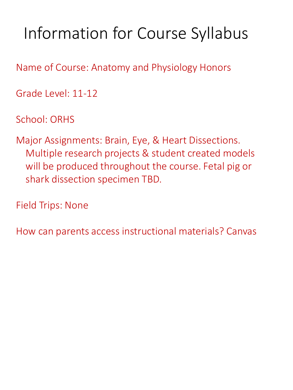# Information for Course Syllabus

Name of Course: Anatomy and Physiology Honors

Grade Level: 11-12

School: ORHS

Major Assignments: Brain, Eye, & Heart Dissections. Multiple research projects & student created models will be produced throughout the course. Fetal pig or shark dissection specimen TBD.

Field Trips: None

How can parents access instructional materials? Canvas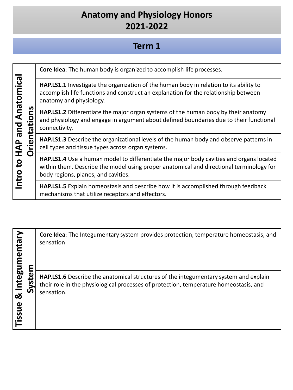#### **Term 1**

| Anatomical |                             | Core Idea: The human body is organized to accomplish life processes.                                                                                                                                                             |
|------------|-----------------------------|----------------------------------------------------------------------------------------------------------------------------------------------------------------------------------------------------------------------------------|
|            |                             | <b>HAP.LS1.1</b> Investigate the organization of the human body in relation to its ability to<br>accomplish life functions and construct an explanation for the relationship between<br>anatomy and physiology.                  |
|            | ons<br>entati<br>pue<br>HAP | HAP.LS1.2 Differentiate the major organ systems of the human body by their anatomy<br>and physiology and engage in argument about defined boundaries due to their functional<br>connectivity.                                    |
|            |                             | <b>HAP.LS1.3</b> Describe the organizational levels of the human body and observe patterns in<br>cell types and tissue types across organ systems.                                                                               |
|            | O<br>Intro to               | <b>HAP.LS1.4</b> Use a human model to differentiate the major body cavities and organs located<br>within them. Describe the model using proper anatomical and directional terminology for<br>body regions, planes, and cavities. |
|            |                             | <b>HAP.LS1.5</b> Explain homeostasis and describe how it is accomplished through feedback<br>mechanisms that utilize receptors and effectors.                                                                                    |

**Tissue & Integumentary**  Tissue & Integumentary **Core Idea**: The Integumentary system provides protection, temperature homeostasis, and sensation **System HAP.LS1.6** Describe the anatomical structures of the integumentary system and explain their role in the physiological processes of protection, temperature homeostasis, and sensation.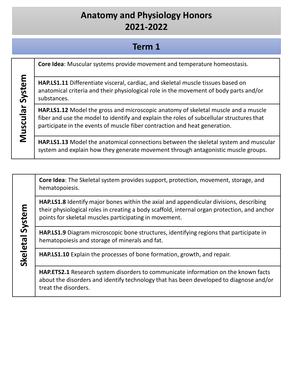#### **Term 1**

Muscular System **Muscular System** substances.

**Skeletal System**

Skeletal System

**Core Idea**: Muscular systems provide movement and temperature homeostasis.

**HAP.LS1.11** Differentiate visceral, cardiac, and skeletal muscle tissues based on anatomical criteria and their physiological role in the movement of body parts and/or

**HAP.LS1.12** Model the gross and microscopic anatomy of skeletal muscle and a muscle fiber and use the model to identify and explain the roles of subcellular structures that participate in the events of muscle fiber contraction and heat generation.

**HAP.LS1.13** Model the anatomical connections between the skeletal system and muscular system and explain how they generate movement through antagonistic muscle groups.

**Core Idea**: The Skeletal system provides support, protection, movement, storage, and hematopoiesis.

**HAP.LS1.8** Identify major bones within the axial and appendicular divisions, describing their physiological roles in creating a body scaffold, internal organ protection, and anchor points for skeletal muscles participating in movement.

**HAP.LS1.9** Diagram microscopic bone structures, identifying regions that participate in hematopoiesis and storage of minerals and fat.

**HAP.LS1.10** Explain the processes of bone formation, growth, and repair.

**HAP.ETS2.1** Research system disorders to communicate information on the known facts about the disorders and identify technology that has been developed to diagnose and/or treat the disorders.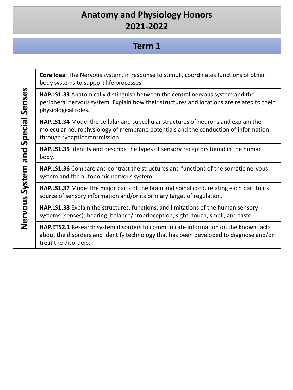### **Term 1**

**Core Idea**: The Nervous system, in response to stimuli, coordinates functions of other body systems to support life processes.

**HAP.LS1.33** Anatomically distinguish between the central nervous system and the peripheral nervous system. Explain how their structures and locations are related to their physiological roles.

**HAP.LS1.34** Model the cellular and subcellular structures of neurons and explain the molecular neurophysiology of membrane potentials and the conduction of information through synaptic transmission.

**HAP.LS1.35** Identify and describe the types of sensory receptors found in the human body.

**HAP.LS1.36** Compare and contrast the structures and functions of the somatic nervous system and the autonomic nervous system.

**HAP.LS1.37** Model the major parts of the brain and spinal cord, relating each part to its source of sensory information and/or its primary target of regulation.

**HAP.LS1.38** Explain the structures, functions, and limitations of the human sensory systems (senses): hearing, balance/proprioception, sight, touch, smell, and taste.

**HAP.ETS2.1** Research system disorders to communicate information on the known facts about the disorders and identify technology that has been developed to diagnose and/or treat the disorders.

Nervous System and Special Senses **Nervous System and Special Senses**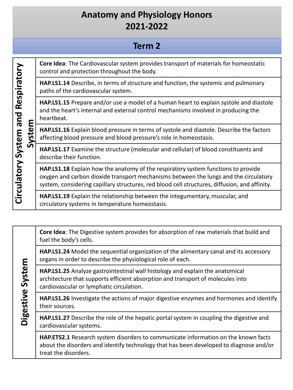### **Term 2**

**System**

**Core Idea**: The Cardiovascular system provides transport of materials for homeostatic control and protection throughout the body.

**HAP.LS1.14** Describe, in terms of structure and function, the systemic and pulmonary paths of the cardiovascular system.

**HAP.LS1.15** Prepare and/or use a model of a human heart to explain systole and diastole and the heart's internal and external control mechanisms involved in producing the heartbeat.

**HAP.LS1.16** Explain blood pressure in terms of systole and diastole. Describe the factors affecting blood pressure and blood pressure's role in homeostasis.

**HAP.LS1.17** Examine the structure (molecular and cellular) of blood constituents and describe their function.

**HAP.LS1.18** Explain how the anatomy of the respiratory system functions to provide oxygen and carbon dioxide transport mechanisms between the lungs and the circulatory system, considering capillary structures, red blood cell structures, diffusion, and affinity.

**HAP.LS1.19** Explain the relationship between the integumentary, muscular, and circulatory systems in temperature homeostasis.

**Core Idea**: The Digestive system provides for absorption of raw materials that build and fuel the body's cells. **HAP.LS1.24** Model the sequential organization of the alimentary canal and its accessory organs in order to describe the physiological role of each. Digestive System **Digestive System HAP.LS1.25** Analyze gastrointestinal wall histology and explain the anatomical architecture that supports efficient absorption and transport of molecules into cardiovascular or lymphatic circulation.

**HAP.LS1.26** Investigate the actions of major digestive enzymes and hormones and identify their sources.

**HAP.LS1.27** Describe the role of the hepatic portal system in coupling the digestive and cardiovascular systems.

**HAP.ETS2.1** Research system disorders to communicate information on the known facts about the disorders and identify technology that has been developed to diagnose and/or treat the disorders.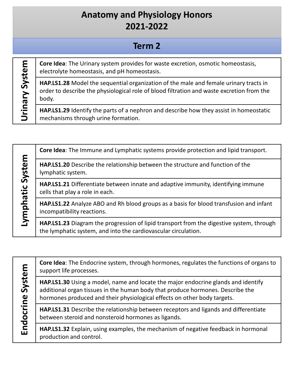### **Term 2**

Urinary System **Urinary System**

**Core Idea**: The Urinary system provides for waste excretion, osmotic homeostasis, electrolyte homeostasis, and pH homeostasis.

**HAP.LS1.28** Model the sequential organization of the male and female urinary tracts in order to describe the physiological role of blood filtration and waste excretion from the body.

**HAP.LS1.29** Identify the parts of a nephron and describe how they assist in homeostatic mechanisms through urine formation.

|           | Core Idea: The Immune and Lymphatic systems provide protection and lipid transport.                                  |
|-----------|----------------------------------------------------------------------------------------------------------------------|
| System    | HAP.LS1.20 Describe the relationship between the structure and function of the<br>lymphatic system.                  |
|           | HAP.LS1.21 Differentiate between innate and adaptive immunity, identifying immune<br>cells that play a role in each. |
| Lymphatic | HAP.LS1.22 Analyze ABO and Rh blood groups as a basis for blood transfusion and infant<br>incompatibility reactions. |
|           | HAP.LS1.23 Diagram the progression of lipid transport from the digestive system, through                             |

the lymphatic system, and into the cardiovascular circulation.

Endocrine System **Endocrine System**

**Core Idea**: The Endocrine system, through hormones, regulates the functions of organs to support life processes.

**HAP.LS1.30** Using a model, name and locate the major endocrine glands and identify additional organ tissues in the human body that produce hormones. Describe the hormones produced and their physiological effects on other body targets.

**HAP.LS1.31** Describe the relationship between receptors and ligands and differentiate between steroid and nonsteroid hormones as ligands.

**HAP.LS1.32** Explain, using examples, the mechanism of negative feedback in hormonal production and control.